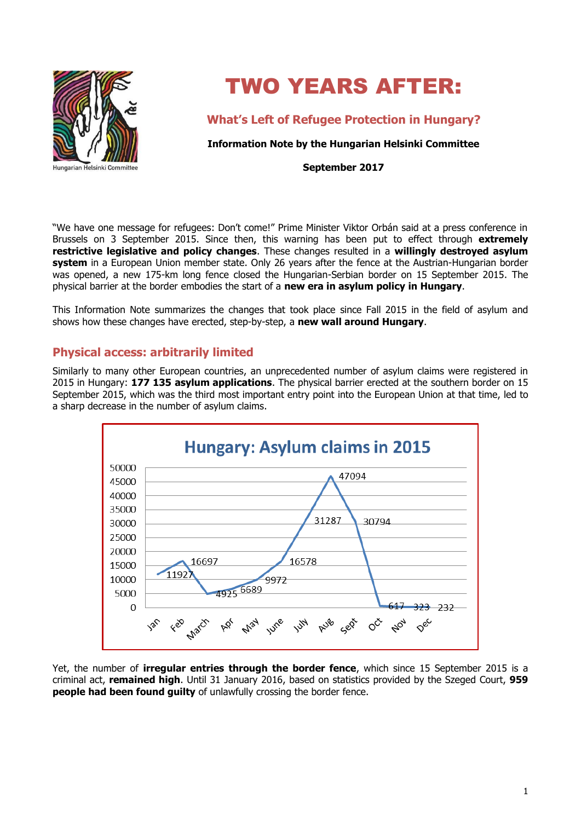

# TWO YEARS AFTER:

**What's Left of Refugee Protection in Hungary?**

**Information Note by the Hungarian Helsinki Committee**

**September 2017**

"We have one message for refugees: Don't come!" Prime Minister Viktor Orbán said at a press conference in Brussels on 3 September 2015. Since then, this warning has been put to effect through **extremely restrictive legislative and policy changes**. These changes resulted in a **willingly destroyed asylum system** in a European Union member state. Only 26 years after the fence at the Austrian-Hungarian border was opened, a new 175-km long fence closed the Hungarian-Serbian border on 15 September 2015. The physical barrier at the border embodies the start of a **new era in asylum policy in Hungary**.

This Information Note summarizes the changes that took place since Fall 2015 in the field of asylum and shows how these changes have erected, step-by-step, a **new wall around Hungary**.

# **Physical access: arbitrarily limited**

Similarly to many other European countries, an unprecedented number of asylum claims were registered in 2015 in Hungary: **177 135 asylum applications**. The physical barrier erected at the southern border on 15 September 2015, which was the third most important entry point into the European Union at that time, led to a sharp decrease in the number of asylum claims.



Yet, the number of **irregular entries through the border fence**, which since 15 September 2015 is a criminal act, **remained high**. Until 31 January 2016, based on statistics provided by the Szeged Court, **959 people had been found guilty** of unlawfully crossing the border fence.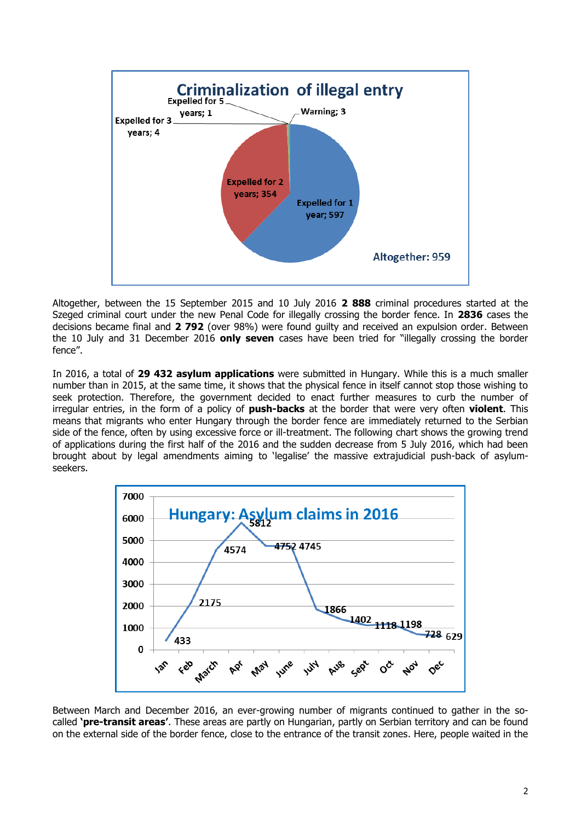

Altogether, between the 15 September 2015 and 10 July 2016 **2 888** criminal procedures started at the Szeged criminal court under the new Penal Code for illegally crossing the border fence. In **2836** cases the decisions became final and **2 792** (over 98%) were found guilty and received an expulsion order. Between the 10 July and 31 December 2016 **only seven** cases have been tried for "illegally crossing the border fence".

In 2016, a total of **29 432 asylum applications** were submitted in Hungary. While this is a much smaller number than in 2015, at the same time, it shows that the physical fence in itself cannot stop those wishing to seek protection. Therefore, the government decided to enact further measures to curb the number of irregular entries, in the form of a policy of **push-backs** at the border that were very often **violent**. This means that migrants who enter Hungary through the border fence are immediately returned to the Serbian side of the fence, often by using excessive force or ill-treatment. The following chart shows the growing trend of applications during the first half of the 2016 and the sudden decrease from 5 July 2016, which had been brought about by legal amendments aiming to 'legalise' the massive extrajudicial push-back of asylumseekers.



Between March and December 2016, an ever-growing number of migrants continued to gather in the socalled **'pre-transit areas'**. These areas are partly on Hungarian, partly on Serbian territory and can be found on the external side of the border fence, close to the entrance of the transit zones. Here, people waited in the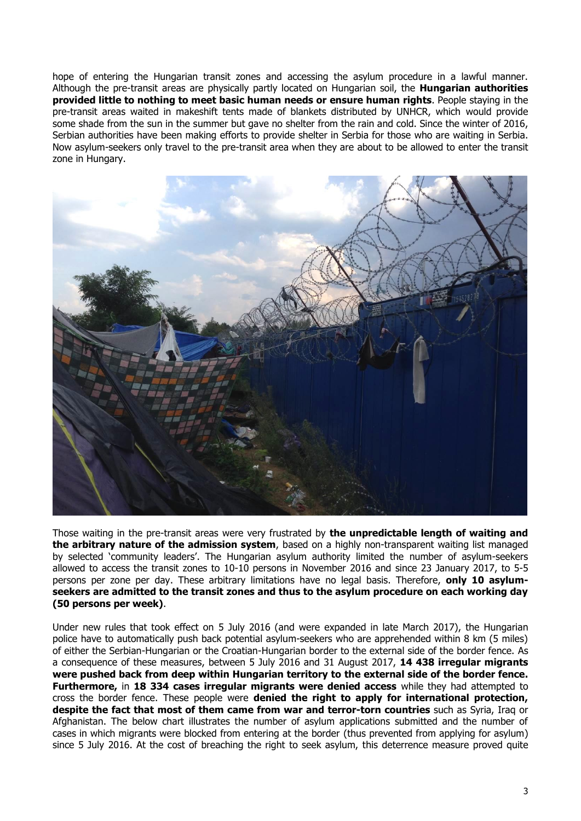hope of entering the Hungarian transit zones and accessing the asylum procedure in a lawful manner. Although the pre-transit areas are physically partly located on Hungarian soil, the **Hungarian authorities provided little to nothing to meet basic human needs or ensure human rights**. People staying in the pre-transit areas waited in makeshift tents made of blankets distributed by UNHCR, which would provide some shade from the sun in the summer but gave no shelter from the rain and cold. Since the winter of 2016, Serbian authorities have been making efforts to provide shelter in Serbia for those who are waiting in Serbia. Now asylum-seekers only travel to the pre-transit area when they are about to be allowed to enter the transit zone in Hungary.



Those waiting in the pre-transit areas were very frustrated by **the unpredictable length of waiting and the arbitrary nature of the admission system**, based on a highly non-transparent waiting list managed by selected 'community leaders'. The Hungarian asylum authority limited the number of asylum-seekers allowed to access the transit zones to 10-10 persons in November 2016 and since 23 January 2017, to 5-5 persons per zone per day. These arbitrary limitations have no legal basis. Therefore, **only 10 asylumseekers are admitted to the transit zones and thus to the asylum procedure on each working day (50 persons per week)**.

Under new rules that took effect on 5 July 2016 (and were expanded in late March 2017), the Hungarian police have to automatically push back potential asylum-seekers who are apprehended within 8 km (5 miles) of either the Serbian-Hungarian or the Croatian-Hungarian border to the external side of the border fence. As a consequence of these measures, between 5 July 2016 and 31 August 2017, **14 438 irregular migrants were pushed back from deep within Hungarian territory to the external side of the border fence. Furthermore,** in **18 334 cases irregular migrants were denied access** while they had attempted to cross the border fence. These people were **denied the right to apply for international protection, despite the fact that most of them came from war and terror-torn countries** such as Syria, Iraq or Afghanistan. The below chart illustrates the number of asylum applications submitted and the number of cases in which migrants were blocked from entering at the border (thus prevented from applying for asylum) since 5 July 2016. At the cost of breaching the right to seek asylum, this deterrence measure proved quite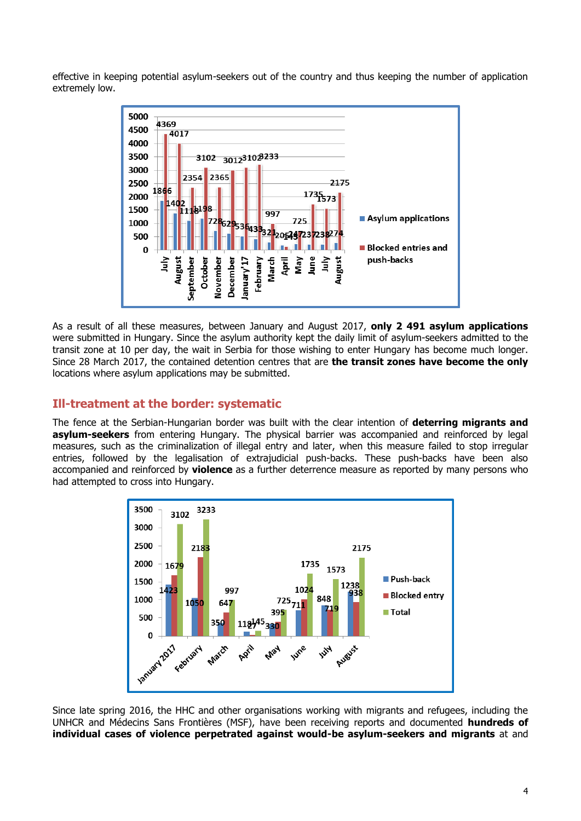effective in keeping potential asylum-seekers out of the country and thus keeping the number of application extremely low.



As a result of all these measures, between January and August 2017, **only 2 491 asylum applications** were submitted in Hungary. Since the asylum authority kept the daily limit of asylum-seekers admitted to the transit zone at 10 per day, the wait in Serbia for those wishing to enter Hungary has become much longer. Since 28 March 2017, the contained detention centres that are **the transit zones have become the only**  locations where asylum applications may be submitted.

# **Ill-treatment at the border: systematic**

The fence at the Serbian-Hungarian border was built with the clear intention of **deterring migrants and asylum-seekers** from entering Hungary. The physical barrier was accompanied and reinforced by legal measures, such as the criminalization of illegal entry and later, when this measure failed to stop irregular entries, followed by the legalisation of extrajudicial push-backs. These push-backs have been also accompanied and reinforced by **violence** as a further deterrence measure as reported by many persons who had attempted to cross into Hungary.



Since late spring 2016, the HHC and other organisations working with migrants and refugees, including the UNHCR and Médecins Sans Frontières (MSF), have been receiving reports and documented **hundreds of individual cases of violence perpetrated against would-be asylum-seekers and migrants** at and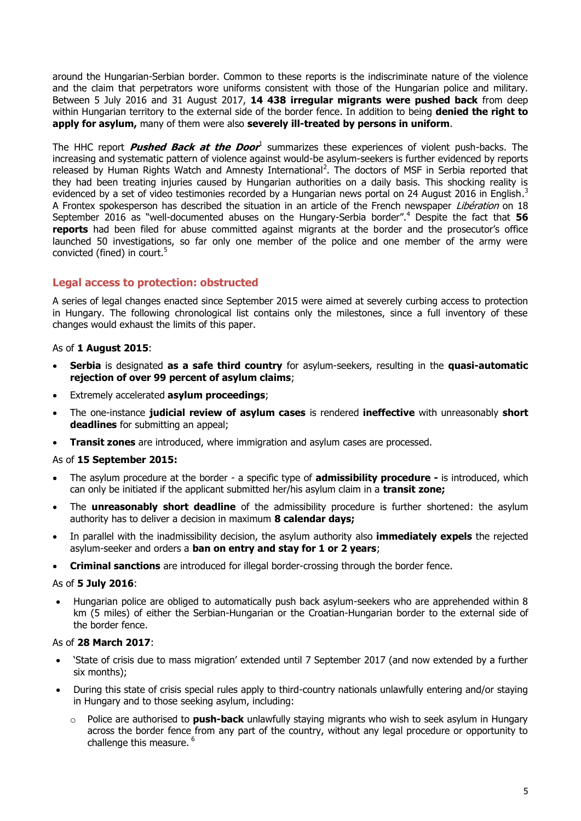around the Hungarian-Serbian border. Common to these reports is the indiscriminate nature of the violence and the claim that perpetrators wore uniforms consistent with those of the Hungarian police and military. Between 5 July 2016 and 31 August 2017, **14 438 irregular migrants were pushed back** from deep within Hungarian territory to the external side of the border fence. In addition to being **denied the right to apply for asylum,** many of them were also **severely ill-treated by persons in uniform**.

The HHC report *Pushed Back at the Door*<sup>1</sup> summarizes these experiences of violent push-backs. The increasing and systematic pattern of violence against would-be asylum-seekers is further evidenced by reports released by Human Rights Watch and Amnesty International<sup>2</sup>. The doctors of MSF in Serbia reported that they had been treating injuries caused by Hungarian authorities on a daily basis. This shocking reality is evidenced by a set of video testimonies recorded by a Hungarian news portal on 24 August 2016 in English.<sup>3</sup> A Frontex spokesperson has described the situation in an article of the French newspaper *Libération* on 18 September 2016 as "well-documented abuses on the Hungary-Serbia border".<sup>4</sup> Despite the fact that 56 **reports** had been filed for abuse committed against migrants at the border and the prosecutor's office launched 50 investigations, so far only one member of the police and one member of the army were convicted (fined) in court.<sup>5</sup>

# **Legal access to protection: obstructed**

A series of legal changes enacted since September 2015 were aimed at severely curbing access to protection in Hungary. The following chronological list contains only the milestones, since a full inventory of these changes would exhaust the limits of this paper.

#### As of **1 August 2015**:

- **Serbia** is designated **as a safe third country** for asylum-seekers, resulting in the **quasi-automatic rejection of over 99 percent of asylum claims**;
- Extremely accelerated **asylum proceedings**;
- The one-instance **judicial review of asylum cases** is rendered **ineffective** with unreasonably **short deadlines** for submitting an appeal;
- **Transit zones** are introduced, where immigration and asylum cases are processed.

#### As of **15 September 2015:**

- The asylum procedure at the border a specific type of **admissibility procedure -** is introduced, which can only be initiated if the applicant submitted her/his asylum claim in a **transit zone;**
- The **unreasonably short deadline** of the admissibility procedure is further shortened: the asylum authority has to deliver a decision in maximum **8 calendar days;**
- In parallel with the inadmissibility decision, the asylum authority also **immediately expels** the rejected asylum-seeker and orders a **ban on entry and stay for 1 or 2 years**;
- **Criminal sanctions** are introduced for illegal border-crossing through the border fence.

#### As of **5 July 2016**:

 Hungarian police are obliged to automatically push back asylum-seekers who are apprehended within 8 km (5 miles) of either the Serbian-Hungarian or the Croatian-Hungarian border to the external side of the border fence.

#### As of **28 March 2017**:

- 'State of crisis due to mass migration' extended until 7 September 2017 (and now extended by a further six months);
- During this state of crisis special rules apply to third-country nationals unlawfully entering and/or staying in Hungary and to those seeking asylum, including:
	- o Police are authorised to **[push-back](http://www.helsinki.hu/wp-content/uploads/HHC-info-update-push-backs-5-July-2016.pdf)** unlawfully staying migrants who wish to seek asylum in Hungary across the border fence from any part of the country, without any legal procedure or opportunity to challenge this measure. <sup>6</sup>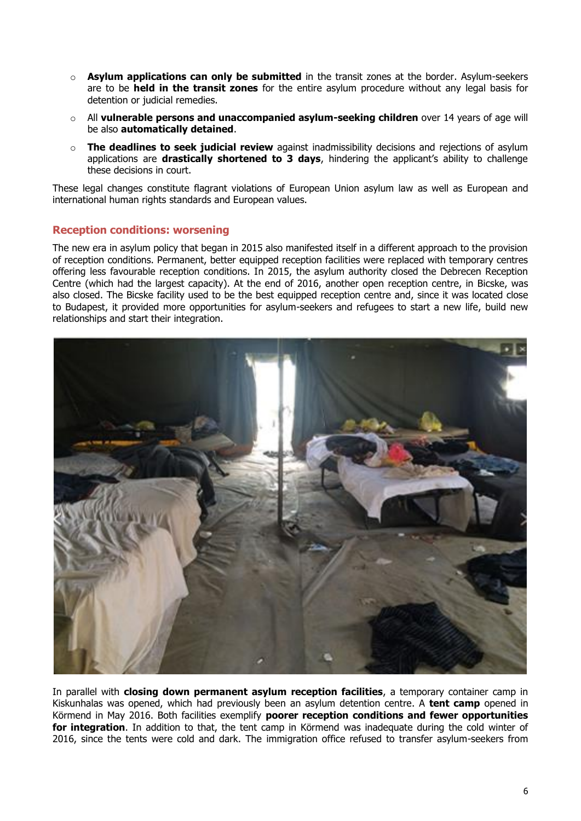- o **Asylum applications can only be submitted** in the transit zones at the border. Asylum-seekers are to be **held in the transit zones** for the entire asylum procedure without any legal basis for detention or judicial remedies.
- o All **vulnerable persons and unaccompanied asylum-seeking children** over 14 years of age will be also **automatically detained**.
- o **The deadlines to seek judicial review** against inadmissibility decisions and rejections of asylum applications are **drastically shortened to 3 days**, hindering the applicant's ability to challenge these decisions in court.

These legal changes constitute flagrant violations of European Union asylum law as well as European and international human rights standards and European values.

#### **Reception conditions: worsening**

The new era in asylum policy that began in 2015 also manifested itself in a different approach to the provision of reception conditions. Permanent, better equipped reception facilities were replaced with temporary centres offering less favourable reception conditions. In 2015, the asylum authority closed the Debrecen Reception Centre (which had the largest capacity). At the end of 2016, another open reception centre, in Bicske, was also closed. The Bicske facility used to be the best equipped reception centre and, since it was located close to Budapest, it provided more opportunities for asylum-seekers and refugees to start a new life, build new relationships and start their integration.



In parallel with **closing down permanent asylum reception facilities**, a temporary container camp in Kiskunhalas was opened, which had previously been an asylum detention centre. A **tent camp** opened in Körmend in May 2016. Both facilities exemplify **poorer reception conditions and fewer opportunities for integration**. In addition to that, the tent camp in Körmend was inadequate during the cold winter of 2016, since the tents were cold and dark. The immigration office refused to transfer asylum-seekers from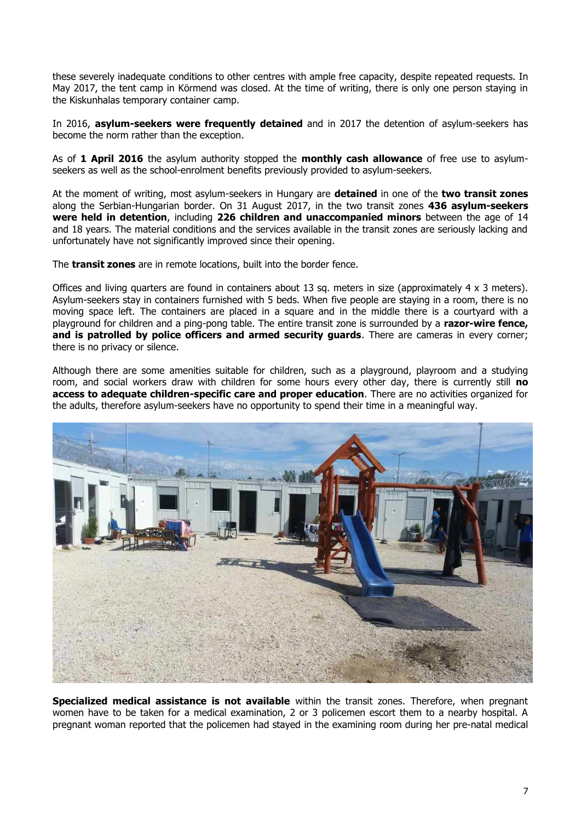these severely inadequate conditions to other centres with ample free capacity, despite repeated requests. In May 2017, the tent camp in Körmend was closed. At the time of writing, there is only one person staying in the Kiskunhalas temporary container camp.

In 2016, **asylum-seekers were frequently detained** and in 2017 the detention of asylum-seekers has become the norm rather than the exception.

As of **1 April 2016** the asylum authority stopped the **monthly cash allowance** of free use to asylumseekers as well as the school-enrolment benefits previously provided to asylum-seekers.

At the moment of writing, most asylum-seekers in Hungary are **detained** in one of the **two transit zones** along the Serbian-Hungarian border. On 31 August 2017, in the two transit zones **436 asylum-seekers were held in detention**, including **226 children and unaccompanied minors** between the age of 14 and 18 years. The material conditions and the services available in the transit zones are seriously lacking and unfortunately have not significantly improved since their opening.

The **transit zones** are in remote locations, built into the border fence.

Offices and living quarters are found in containers about 13 sq. meters in size (approximately  $4 \times 3$  meters). Asylum-seekers stay in containers furnished with 5 beds. When five people are staying in a room, there is no moving space left. The containers are placed in a square and in the middle there is a courtyard with a playground for children and a ping-pong table. The entire transit zone is surrounded by a **razor-wire fence, and is patrolled by police officers and armed security guards**. There are cameras in every corner; there is no privacy or silence.

Although there are some amenities suitable for children, such as a playground, playroom and a studying room, and social workers draw with children for some hours every other day, there is currently still **no access to adequate children-specific care and proper education**. There are no activities organized for the adults, therefore asylum-seekers have no opportunity to spend their time in a meaningful way.



**Specialized medical assistance is not available** within the transit zones. Therefore, when pregnant women have to be taken for a medical examination, 2 or 3 policemen escort them to a nearby hospital. A pregnant woman reported that the policemen had stayed in the examining room during her pre-natal medical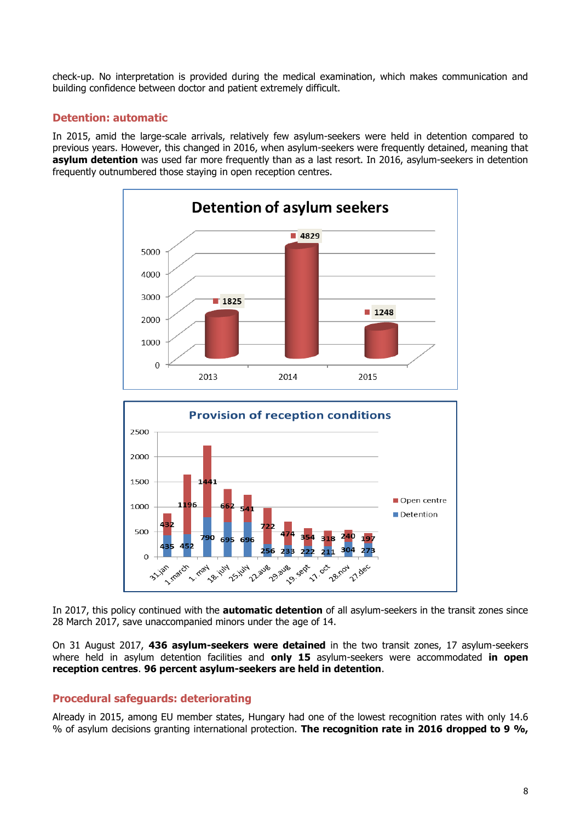check-up. No interpretation is provided during the medical examination, which makes communication and building confidence between doctor and patient extremely difficult.

## **Detention: automatic**

In 2015, amid the large-scale arrivals, relatively few asylum-seekers were held in detention compared to previous years. However, this changed in 2016, when asylum-seekers were frequently detained, meaning that **asylum detention** was used far more frequently than as a last resort. In 2016, asylum-seekers in detention frequently outnumbered those staying in open reception centres.





In 2017, this policy continued with the **automatic detention** of all asylum-seekers in the transit zones since 28 March 2017, save unaccompanied minors under the age of 14.

On 31 August 2017, **436 asylum-seekers were detained** in the two transit zones, 17 asylum-seekers where held in asylum detention facilities and **only 15** asylum-seekers were accommodated **in open reception centres**. **96 percent asylum-seekers are held in detention**.

#### **Procedural safeguards: deteriorating**

Already in 2015, among EU member states, Hungary had one of the lowest recognition rates with only 14.6 % of asylum decisions granting international protection. **The recognition rate in 2016 dropped to 9 %,**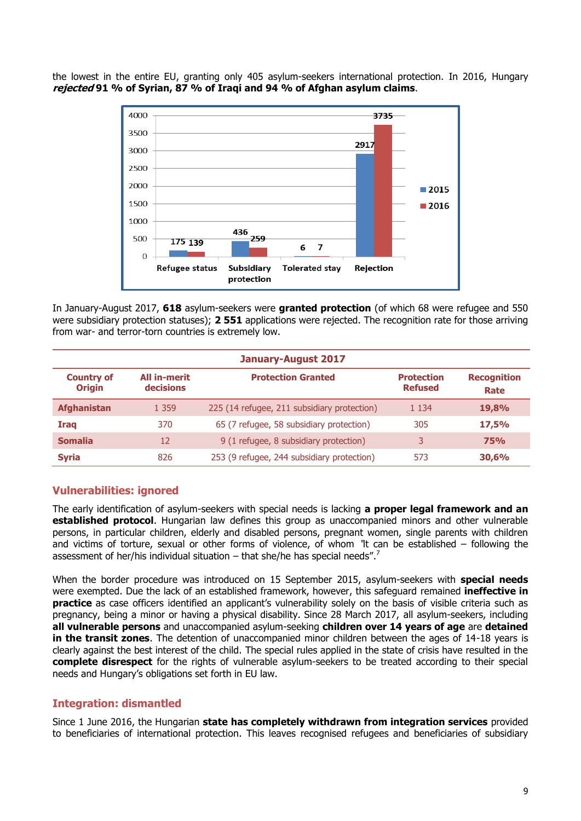the lowest in the entire EU, granting only 405 asylum-seekers international protection. In 2016, Hungary **rejected 91 % of Syrian, 87 % of Iraqi and 94 % of Afghan asylum claims**.



In January-August 2017, **618** asylum-seekers were **granted protection** (of which 68 were refugee and 550 were subsidiary protection statuses); **2 551** applications were rejected. The recognition rate for those arriving from war- and terror-torn countries is extremely low.

| <b>January-August 2017</b>         |                           |                                             |                                     |                            |
|------------------------------------|---------------------------|---------------------------------------------|-------------------------------------|----------------------------|
| <b>Country of</b><br><b>Origin</b> | All in-merit<br>decisions | <b>Protection Granted</b>                   | <b>Protection</b><br><b>Refused</b> | <b>Recognition</b><br>Rate |
| <b>Afghanistan</b>                 | 1 3 5 9                   | 225 (14 refugee, 211 subsidiary protection) | 1 1 3 4                             | 19,8%                      |
| Iraq                               | 370                       | 65 (7 refugee, 58 subsidiary protection)    | 305                                 | 17,5%                      |
| <b>Somalia</b>                     | 12                        | 9 (1 refugee, 8 subsidiary protection)      | 3                                   | <b>75%</b>                 |
| <b>Syria</b>                       | 826                       | 253 (9 refugee, 244 subsidiary protection)  | 573                                 | 30,6%                      |

# **Vulnerabilities: ignored**

The early identification of asylum-seekers with special needs is lacking **a proper legal framework and an established protocol**. Hungarian law defines this group as unaccompanied minors and other vulnerable persons, in particular children, elderly and disabled persons, pregnant women, single parents with children and victims of torture, sexual or other forms of violence, of whom "it can be established – following the assessment of her/his individual situation  $-$  that she/he has special needs".<sup>7</sup>

When the border procedure was introduced on 15 September 2015, asylum-seekers with **special needs** were exempted. Due the lack of an established framework, however, this safeguard remained **ineffective in practice** as case officers identified an applicant's vulnerability solely on the basis of visible criteria such as pregnancy, being a minor or having a physical disability. Since 28 March 2017, all asylum-seekers, including **all vulnerable persons** and unaccompanied asylum-seeking **children over 14 years of age** are **detained in the transit zones**. The detention of unaccompanied minor children between the ages of 14-18 years is clearly against the best interest of the child. The special rules applied in the state of crisis have resulted in the **complete disrespect** for the rights of vulnerable asylum-seekers to be treated according to their special needs and Hungary's obligations set forth in EU law.

#### **Integration: dismantled**

Since 1 June 2016, the Hungarian **state has completely withdrawn from integration services** provided to beneficiaries of international protection. This leaves recognised refugees and beneficiaries of subsidiary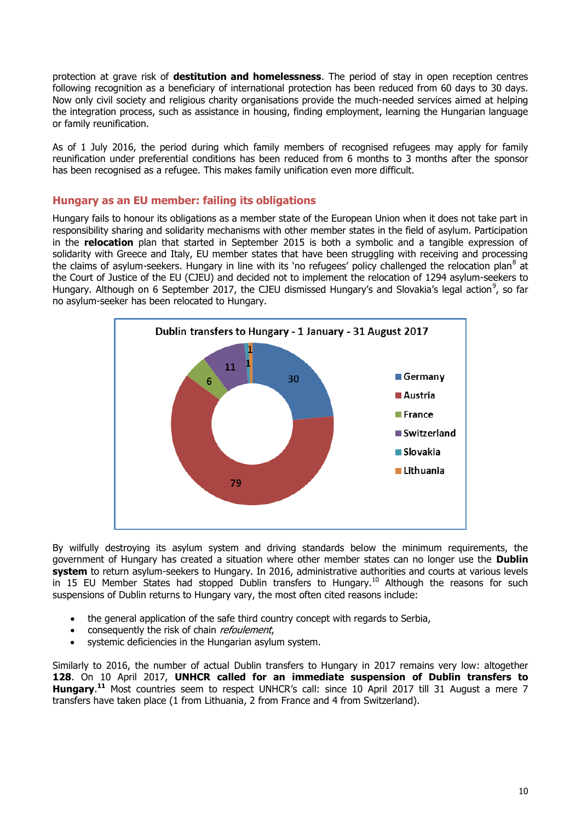protection at grave risk of **destitution and homelessness**. The period of stay in open reception centres following recognition as a beneficiary of international protection has been reduced from 60 days to 30 days. Now only civil society and religious charity organisations provide the much-needed services aimed at helping the integration process, such as assistance in housing, finding employment, learning the Hungarian language or family reunification.

As of 1 July 2016, the period during which family members of recognised refugees may apply for family reunification under preferential conditions has been reduced from 6 months to 3 months after the sponsor has been recognised as a refugee. This makes family unification even more difficult.

## **Hungary as an EU member: failing its obligations**

Hungary fails to honour its obligations as a member state of the European Union when it does not take part in responsibility sharing and solidarity mechanisms with other member states in the field of asylum. Participation in the **relocation** plan that started in September 2015 is both a symbolic and a tangible expression of solidarity with Greece and Italy, EU member states that have been struggling with receiving and processing the claims of asylum-seekers. Hungary in line with its 'no refugees' policy challenged the relocation plan<sup>8</sup> at the Court of Justice of the EU (CJEU) and decided not to implement the relocation of 1294 asylum-seekers to Hungary. Although on 6 September 2017, the CJEU dismissed Hungary's and Slovakia's legal action<sup>9</sup>, so far no asylum-seeker has been relocated to Hungary.



By wilfully destroying its asylum system and driving standards below the minimum requirements, the government of Hungary has created a situation where other member states can no longer use the **Dublin system** to return asylum-seekers to Hungary. In 2016, administrative authorities and courts at various levels in 15 EU Member States had stopped Dublin transfers to Hungary.<sup>10</sup> Although the reasons for such suspensions of Dublin returns to Hungary vary, the most often cited reasons include:

- the general application of the safe third country concept with regards to Serbia,
- consequently the risk of chain refoulement,
- systemic deficiencies in the Hungarian asylum system.

Similarly to 2016, the number of actual Dublin transfers to Hungary in 2017 remains very low: altogether **128**. On 10 April 2017, **UNHCR [called for an immediate suspension](http://www.unhcr.org/news/press/2017/4/58eb7e454/unhcr-urges-suspension-transfers-asylum-seekers-hungary-under-dublin.html) of Dublin transfers to Hungary**. **<sup>11</sup>** Most countries seem to respect UNHCR's call: since 10 April 2017 till 31 August a mere 7 transfers have taken place (1 from Lithuania, 2 from France and 4 from Switzerland).